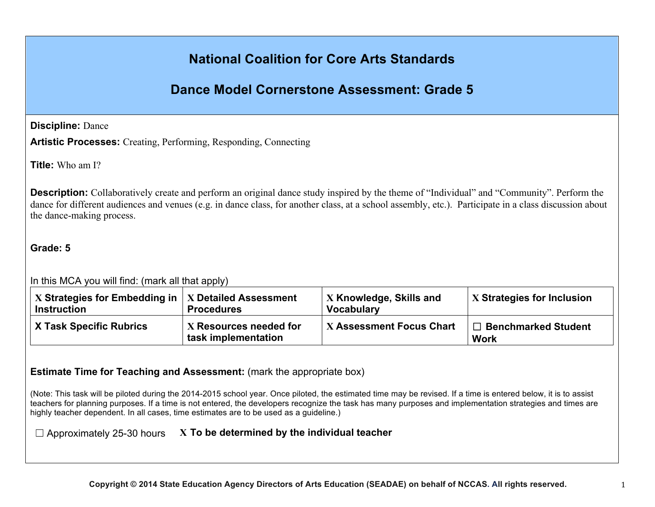# **National Coalition for Core Arts Standards**

# **Dance Model Cornerstone Assessment: Grade 5**

**Discipline:** Dance

**Artistic Processes:** Creating, Performing, Responding, Connecting

**Title:** Who am I?

**Description:** Collaboratively create and perform an original dance study inspired by the theme of "Individual" and "Community". Perform the dance for different audiences and venues (e.g. in dance class, for another class, at a school assembly, etc.). Participate in a class discussion about the dance-making process.

## **Grade: 5**

In this MCA you will find: (mark all that apply)

| $\parallel$ X Strategies for Embedding in $\parallel$ X Detailed Assessment<br><b>Instruction</b> | <b>Procedures</b>                             | $\vert$ X Knowledge, Skills and<br><b>Vocabulary</b> | <b>X</b> Strategies for Inclusion         |
|---------------------------------------------------------------------------------------------------|-----------------------------------------------|------------------------------------------------------|-------------------------------------------|
| X Task Specific Rubrics                                                                           | X Resources needed for<br>task implementation | $\mathbf{X}$ Assessment Focus Chart                  | $\Box$ Benchmarked Student<br><b>Work</b> |

## **Estimate Time for Teaching and Assessment:** (mark the appropriate box)

(Note: This task will be piloted during the 2014-2015 school year. Once piloted, the estimated time may be revised. If a time is entered below, it is to assist teachers for planning purposes. If a time is not entered, the developers recognize the task has many purposes and implementation strategies and times are highly teacher dependent. In all cases, time estimates are to be used as a quideline.)

☐ Approximately 25-30 hours **X To be determined by the individual teacher**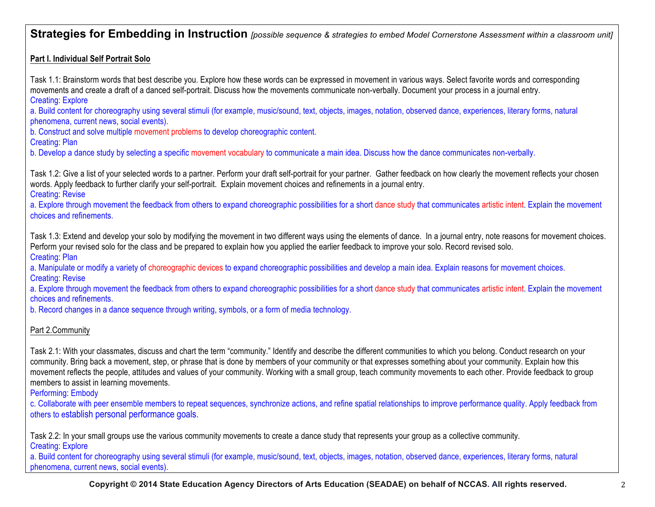**Strategies for Embedding in Instruction** *[possible sequence & strategies to embed Model Cornerstone Assessment within a classroom unit]*

#### **Part I. Individual Self Portrait Solo**

Task 1.1: Brainstorm words that best describe you. Explore how these words can be expressed in movement in various ways. Select favorite words and corresponding movements and create a draft of a danced self-portrait. Discuss how the movements communicate non-verbally. Document your process in a journal entry. Creating: Explore

a. Build content for choreography using several stimuli (for example, music/sound, text, objects, images, notation, observed dance, experiences, literary forms, natural phenomena, current news, social events).

b. Construct and solve multiple movement problems to develop choreographic content.

Creating: Plan

b. Develop a dance study by selecting a specific movement vocabulary to communicate a main idea. Discuss how the dance communicates non-verbally.

Task 1.2: Give a list of your selected words to a partner. Perform your draft self-portrait for your partner. Gather feedback on how clearly the movement reflects your chosen words. Apply feedback to further clarify your self-portrait. Explain movement choices and refinements in a journal entry. Creating: Revise

a. Explore through movement the feedback from others to expand choreographic possibilities for a short dance study that communicates artistic intent. Explain the movement choices and refinements.

Task 1.3: Extend and develop your solo by modifying the movement in two different ways using the elements of dance. In a journal entry, note reasons for movement choices. Perform your revised solo for the class and be prepared to explain how you applied the earlier feedback to improve your solo. Record revised solo. Creating: Plan

a. Manipulate or modify a variety of choreographic devices to expand choreographic possibilities and develop a main idea. Explain reasons for movement choices. Creating: Revise

a. Explore through movement the feedback from others to expand choreographic possibilities for a short dance study that communicates artistic intent. Explain the movement choices and refinements.

b. Record changes in a dance sequence through writing, symbols, or a form of media technology.

#### Part 2.Community

Task 2.1: With your classmates, discuss and chart the term "community." Identify and describe the different communities to which you belong. Conduct research on your community. Bring back a movement, step, or phrase that is done by members of your community or that expresses something about your community. Explain how this movement reflects the people, attitudes and values of your community. Working with a small group, teach community movements to each other. Provide feedback to group members to assist in learning movements.

Performing: Embody

c. Collaborate with peer ensemble members to repeat sequences, synchronize actions, and refine spatial relationships to improve performance quality. Apply feedback from others to establish personal performance goals.

Task 2.2: In your small groups use the various community movements to create a dance study that represents your group as a collective community. Creating: Explore

a. Build content for choreography using several stimuli (for example, music/sound, text, objects, images, notation, observed dance, experiences, literary forms, natural phenomena, current news, social events).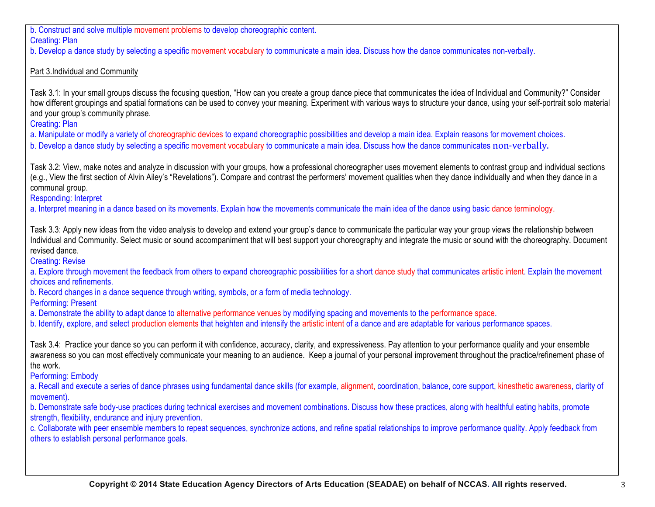b. Construct and solve multiple movement problems to develop choreographic content. Creating: Plan

b. Develop a dance study by selecting a specific movement vocabulary to communicate a main idea. Discuss how the dance communicates non-verbally.

#### Part 3.Individual and Community

Task 3.1: In your small groups discuss the focusing question, "How can you create a group dance piece that communicates the idea of Individual and Community?" Consider how different groupings and spatial formations can be used to convey your meaning. Experiment with various ways to structure your dance, using your self-portrait solo material and your group's community phrase.

Creating: Plan

a. Manipulate or modify a variety of choreographic devices to expand choreographic possibilities and develop a main idea. Explain reasons for movement choices. b. Develop a dance study by selecting a specific movement vocabulary to communicate a main idea. Discuss how the dance communicates non-verbally.

Task 3.2: View, make notes and analyze in discussion with your groups, how a professional choreographer uses movement elements to contrast group and individual sections (e.g., View the first section of Alvin Ailey's "Revelations"). Compare and contrast the performers' movement qualities when they dance individually and when they dance in a communal group.

Responding: Interpret

a. Interpret meaning in a dance based on its movements. Explain how the movements communicate the main idea of the dance using basic dance terminology.

Task 3.3: Apply new ideas from the video analysis to develop and extend your group's dance to communicate the particular way your group views the relationship between Individual and Community. Select music or sound accompaniment that will best support your choreography and integrate the music or sound with the choreography. Document revised dance.

Creating: Revise

a. Explore through movement the feedback from others to expand choreographic possibilities for a short dance study that communicates artistic intent. Explain the movement choices and refinements.

b. Record changes in a dance sequence through writing, symbols, or a form of media technology.

Performing: Present

a. Demonstrate the ability to adapt dance to alternative performance venues by modifying spacing and movements to the performance space.

b. Identify, explore, and select production elements that heighten and intensify the artistic intent of a dance and are adaptable for various performance spaces.

Task 3.4: Practice your dance so you can perform it with confidence, accuracy, clarity, and expressiveness. Pay attention to your performance quality and your ensemble awareness so you can most effectively communicate your meaning to an audience. Keep a journal of your personal improvement throughout the practice/refinement phase of the work.

Performing: Embody

a. Recall and execute a series of dance phrases using fundamental dance skills (for example, alignment, coordination, balance, core support, kinesthetic awareness, clarity of movement).

b. Demonstrate safe body-use practices during technical exercises and movement combinations. Discuss how these practices, along with healthful eating habits, promote strength, flexibility, endurance and injury prevention.

c. Collaborate with peer ensemble members to repeat sequences, synchronize actions, and refine spatial relationships to improve performance quality. Apply feedback from others to establish personal performance goals.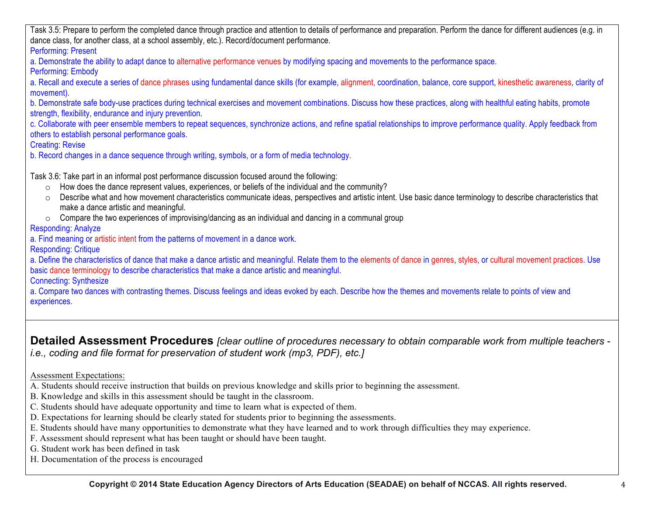Task 3.5: Prepare to perform the completed dance through practice and attention to details of performance and preparation. Perform the dance for different audiences (e.g. in dance class, for another class, at a school assembly, etc.). Record/document performance.

Performing: Present

a. Demonstrate the ability to adapt dance to alternative performance venues by modifying spacing and movements to the performance space.

Performing: Embody a. Recall and execute a series of dance phrases using fundamental dance skills (for example, alignment, coordination, balance, core support, kinesthetic awareness, clarity of movement).

b. Demonstrate safe body-use practices during technical exercises and movement combinations. Discuss how these practices, along with healthful eating habits, promote strength, flexibility, endurance and injury prevention.

c. Collaborate with peer ensemble members to repeat sequences, synchronize actions, and refine spatial relationships to improve performance quality. Apply feedback from others to establish personal performance goals.

Creating: Revise

b. Record changes in a dance sequence through writing, symbols, or a form of media technology.

Task 3.6: Take part in an informal post performance discussion focused around the following:

- o How does the dance represent values, experiences, or beliefs of the individual and the community?
- o Describe what and how movement characteristics communicate ideas, perspectives and artistic intent. Use basic dance terminology to describe characteristics that make a dance artistic and meaningful.
- $\circ$  Compare the two experiences of improvising/dancing as an individual and dancing in a communal group

## Responding: Analyze

- a. Find meaning or artistic intent from the patterns of movement in a dance work.
- Responding: Critique

a. Define the characteristics of dance that make a dance artistic and meaningful. Relate them to the elements of dance in genres, styles, or cultural movement practices. Use basic dance terminology to describe characteristics that make a dance artistic and meaningful.

Connecting: Synthesize

a. Compare two dances with contrasting themes. Discuss feelings and ideas evoked by each. Describe how the themes and movements relate to points of view and experiences.

**Detailed Assessment Procedures** *[clear outline of procedures necessary to obtain comparable work from multiple teachers i.e., coding and file format for preservation of student work (mp3, PDF), etc.]*

Assessment Expectations:

- A. Students should receive instruction that builds on previous knowledge and skills prior to beginning the assessment.
- B. Knowledge and skills in this assessment should be taught in the classroom.
- C. Students should have adequate opportunity and time to learn what is expected of them.
- D. Expectations for learning should be clearly stated for students prior to beginning the assessments.
- E. Students should have many opportunities to demonstrate what they have learned and to work through difficulties they may experience.
- F. Assessment should represent what has been taught or should have been taught.
- G. Student work has been defined in task
- H. Documentation of the process is encouraged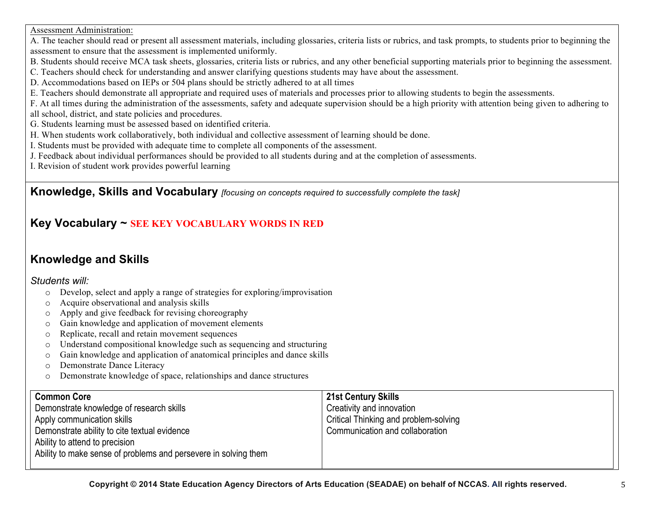Assessment Administration:

A. The teacher should read or present all assessment materials, including glossaries, criteria lists or rubrics, and task prompts, to students prior to beginning the assessment to ensure that the assessment is implemented uniformly.

- B. Students should receive MCA task sheets, glossaries, criteria lists or rubrics, and any other beneficial supporting materials prior to beginning the assessment.
- C. Teachers should check for understanding and answer clarifying questions students may have about the assessment.
- D. Accommodations based on IEPs or 504 plans should be strictly adhered to at all times
- E. Teachers should demonstrate all appropriate and required uses of materials and processes prior to allowing students to begin the assessments.
- F. At all times during the administration of the assessments, safety and adequate supervision should be a high priority with attention being given to adhering to
- all school, district, and state policies and procedures.
- G. Students learning must be assessed based on identified criteria.
- H. When students work collaboratively, both individual and collective assessment of learning should be done.
- I. Students must be provided with adequate time to complete all components of the assessment.
- J. Feedback about individual performances should be provided to all students during and at the completion of assessments.
- I. Revision of student work provides powerful learning

**Knowledge, Skills and Vocabulary** *[focusing on concepts required to successfully complete the task]*

## **Key Vocabulary ~ SEE KEY VOCABULARY WORDS IN RED**

## **Knowledge and Skills**

## *Students will:*

- o Develop, select and apply a range of strategies for exploring/improvisation
- o Acquire observational and analysis skills
- o Apply and give feedback for revising choreography
- o Gain knowledge and application of movement elements
- o Replicate, recall and retain movement sequences
- o Understand compositional knowledge such as sequencing and structuring
- o Gain knowledge and application of anatomical principles and dance skills
- o Demonstrate Dance Literacy
- o Demonstrate knowledge of space, relationships and dance structures

| <b>Common Core</b>                                              | 21st Century Skills                                |
|-----------------------------------------------------------------|----------------------------------------------------|
| Demonstrate knowledge of research skills                        | Creativity and innovation                          |
| Apply communication skills                                      | <sup>1</sup> Critical Thinking and problem-solving |
| Demonstrate ability to cite textual evidence                    | Communication and collaboration                    |
| Ability to attend to precision                                  |                                                    |
| Ability to make sense of problems and persevere in solving them |                                                    |
|                                                                 |                                                    |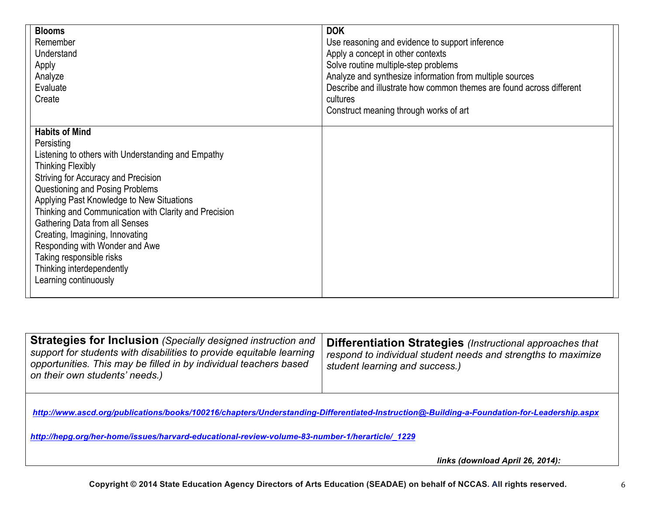| <b>Blooms</b><br>Remember<br>Understand<br>Apply<br>Analyze<br>Evaluate<br>Create                                                                                                                                                                                                                                                                                                                                                                                                                     | <b>DOK</b><br>Use reasoning and evidence to support inference<br>Apply a concept in other contexts<br>Solve routine multiple-step problems<br>Analyze and synthesize information from multiple sources<br>Describe and illustrate how common themes are found across different<br>cultures<br>Construct meaning through works of art |
|-------------------------------------------------------------------------------------------------------------------------------------------------------------------------------------------------------------------------------------------------------------------------------------------------------------------------------------------------------------------------------------------------------------------------------------------------------------------------------------------------------|--------------------------------------------------------------------------------------------------------------------------------------------------------------------------------------------------------------------------------------------------------------------------------------------------------------------------------------|
| <b>Habits of Mind</b><br>Persisting<br>Listening to others with Understanding and Empathy<br><b>Thinking Flexibly</b><br>Striving for Accuracy and Precision<br>Questioning and Posing Problems<br>Applying Past Knowledge to New Situations<br>Thinking and Communication with Clarity and Precision<br><b>Gathering Data from all Senses</b><br>Creating, Imagining, Innovating<br>Responding with Wonder and Awe<br>Taking responsible risks<br>Thinking interdependently<br>Learning continuously |                                                                                                                                                                                                                                                                                                                                      |

| <b>Strategies for Inclusion (Specially designed instruction and</b><br>support for students with disabilities to provide equitable learning<br>opportunities. This may be filled in by individual teachers based<br>on their own students' needs.) | <b>Differentiation Strategies</b> (Instructional approaches that<br>respond to individual student needs and strengths to maximize<br>student learning and success.) |  |  |  |  |
|----------------------------------------------------------------------------------------------------------------------------------------------------------------------------------------------------------------------------------------------------|---------------------------------------------------------------------------------------------------------------------------------------------------------------------|--|--|--|--|
| http://www.ascd.org/publications/books/100216/chapters/Understanding-Differentiated-Instruction@-Building-a-Foundation-for-Leadership.aspx<br>http://hepg.org/her-home/issues/harvard-educational-review-volume-83-number-1/herarticle/ 1229       |                                                                                                                                                                     |  |  |  |  |
|                                                                                                                                                                                                                                                    | links (download April 26, 2014):                                                                                                                                    |  |  |  |  |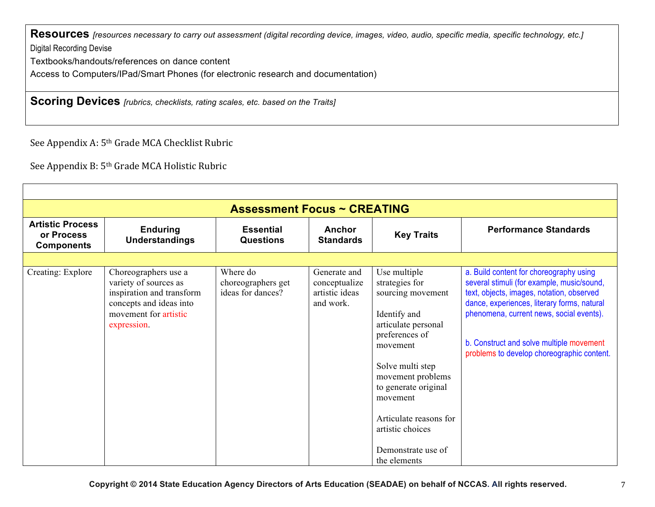**Resources** *[resources necessary to carry out assessment (digital recording device, images, video, audio, specific media, specific technology, etc.]*

Digital Recording Devise

Textbooks/handouts/references on dance content

Access to Computers/IPad/Smart Phones (for electronic research and documentation)

**Scoring Devices** *[rubrics, checklists, rating scales, etc. based on the Traits]*

See Appendix A: 5<sup>th</sup> Grade MCA Checklist Rubric

See Appendix B: 5<sup>th</sup> Grade MCA Holistic Rubric

| <b>Assessment Focus ~ CREATING</b>                         |                                                                                                                                               |                                                     |                                                              |                                                                                                                                                                                                                                                                                           |                                                                                                                                                                                                                                                                                                                         |
|------------------------------------------------------------|-----------------------------------------------------------------------------------------------------------------------------------------------|-----------------------------------------------------|--------------------------------------------------------------|-------------------------------------------------------------------------------------------------------------------------------------------------------------------------------------------------------------------------------------------------------------------------------------------|-------------------------------------------------------------------------------------------------------------------------------------------------------------------------------------------------------------------------------------------------------------------------------------------------------------------------|
| <b>Artistic Process</b><br>or Process<br><b>Components</b> | <b>Enduring</b><br><b>Understandings</b>                                                                                                      | <b>Essential</b><br><b>Questions</b>                | Anchor<br><b>Standards</b>                                   | <b>Key Traits</b>                                                                                                                                                                                                                                                                         | <b>Performance Standards</b>                                                                                                                                                                                                                                                                                            |
|                                                            |                                                                                                                                               |                                                     |                                                              |                                                                                                                                                                                                                                                                                           |                                                                                                                                                                                                                                                                                                                         |
| Creating: Explore                                          | Choreographers use a<br>variety of sources as<br>inspiration and transform<br>concepts and ideas into<br>movement for artistic<br>expression. | Where do<br>choreographers get<br>ideas for dances? | Generate and<br>conceptualize<br>artistic ideas<br>and work. | Use multiple<br>strategies for<br>sourcing movement<br>Identify and<br>articulate personal<br>preferences of<br>movement<br>Solve multi step<br>movement problems<br>to generate original<br>movement<br>Articulate reasons for<br>artistic choices<br>Demonstrate use of<br>the elements | a. Build content for choreography using<br>several stimuli (for example, music/sound,<br>text, objects, images, notation, observed<br>dance, experiences, literary forms, natural<br>phenomena, current news, social events).<br>b. Construct and solve multiple movement<br>problems to develop choreographic content. |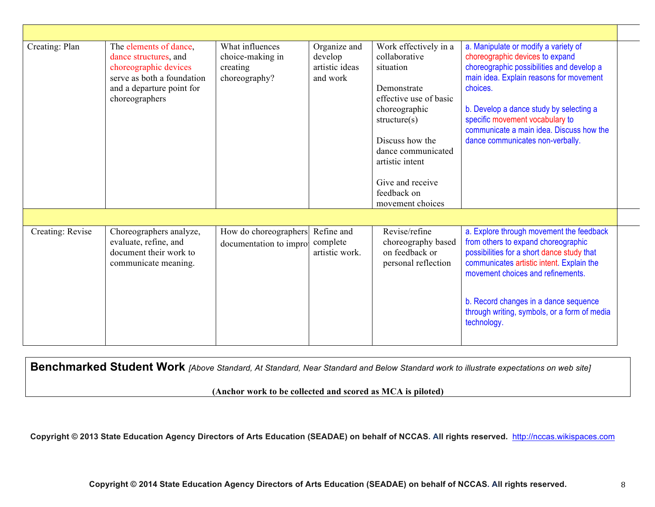| Creating: Plan   | The elements of dance,<br>dance structures, and<br>choreographic devices<br>serve as both a foundation<br>and a departure point for<br>choreographers | What influences<br>choice-making in<br>creating<br>choreography? | Organize and<br>develop<br>artistic ideas<br>and work | Work effectively in a<br>collaborative<br>situation<br>Demonstrate<br>effective use of basic<br>choreographic<br>structure(s)<br>Discuss how the<br>dance communicated<br>artistic intent<br>Give and receive<br>feedback on<br>movement choices | a. Manipulate or modify a variety of<br>choreographic devices to expand<br>choreographic possibilities and develop a<br>main idea. Explain reasons for movement<br>choices.<br>b. Develop a dance study by selecting a<br>specific movement vocabulary to<br>communicate a main idea. Discuss how the<br>dance communicates non-verbally. |  |
|------------------|-------------------------------------------------------------------------------------------------------------------------------------------------------|------------------------------------------------------------------|-------------------------------------------------------|--------------------------------------------------------------------------------------------------------------------------------------------------------------------------------------------------------------------------------------------------|-------------------------------------------------------------------------------------------------------------------------------------------------------------------------------------------------------------------------------------------------------------------------------------------------------------------------------------------|--|
|                  |                                                                                                                                                       |                                                                  |                                                       |                                                                                                                                                                                                                                                  |                                                                                                                                                                                                                                                                                                                                           |  |
| Creating: Revise | Choreographers analyze,<br>evaluate, refine, and<br>document their work to<br>communicate meaning.                                                    | How do choreographers<br>documentation to impro-                 | Refine and<br>complete<br>artistic work.              | Revise/refine<br>choreography based<br>on feedback or<br>personal reflection                                                                                                                                                                     | a. Explore through movement the feedback<br>from others to expand choreographic<br>possibilities for a short dance study that<br>communicates artistic intent. Explain the<br>movement choices and refinements.<br>b. Record changes in a dance sequence<br>through writing, symbols, or a form of media<br>technology.                   |  |

**Benchmarked Student Work** *[Above Standard, At Standard, Near Standard and Below Standard work to illustrate expectations on web site]*

**(Anchor work to be collected and scored as MCA is piloted)**

**Copyright © 2013 State Education Agency Directors of Arts Education (SEADAE) on behalf of NCCAS. All rights reserved.** http://nccas.wikispaces.com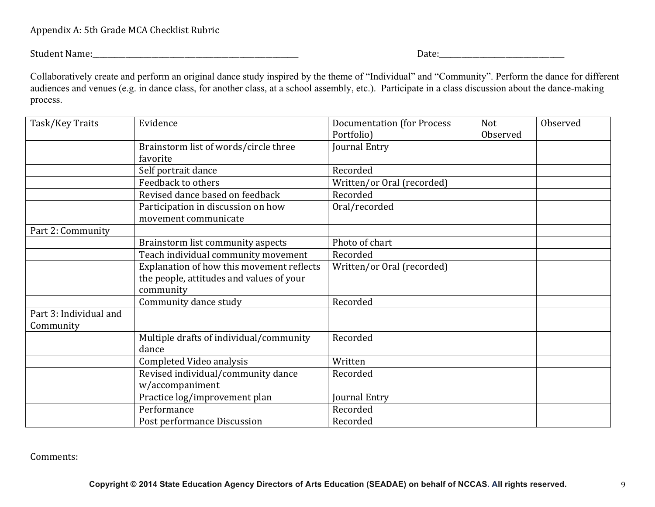Appendix A: 5th Grade MCA Checklist Rubric

Student Name:\_\_\_\_\_\_\_\_\_\_\_\_\_\_\_\_\_\_\_\_\_\_\_\_\_\_\_\_\_\_\_\_\_\_\_\_\_\_\_\_\_\_\_\_\_\_\_\_\_\_\_\_\_\_\_\_ Date:\_\_\_\_\_\_\_\_\_\_\_\_\_\_\_\_\_\_\_\_\_\_\_\_\_\_\_\_\_\_\_\_\_\_

Collaboratively create and perform an original dance study inspired by the theme of "Individual" and "Community". Perform the dance for different audiences and venues (e.g. in dance class, for another class, at a school assembly, etc.). Participate in a class discussion about the dance-making process.

| Task/Key Traits        | Evidence                                  | <b>Documentation (for Process</b> | <b>Not</b> | Observed |
|------------------------|-------------------------------------------|-----------------------------------|------------|----------|
|                        |                                           | Portfolio)                        | Observed   |          |
|                        | Brainstorm list of words/circle three     | Journal Entry                     |            |          |
|                        | favorite                                  |                                   |            |          |
|                        | Self portrait dance                       | Recorded                          |            |          |
|                        | Feedback to others                        | Written/or Oral (recorded)        |            |          |
|                        | Revised dance based on feedback           | Recorded                          |            |          |
|                        | Participation in discussion on how        | Oral/recorded                     |            |          |
|                        | movement communicate                      |                                   |            |          |
| Part 2: Community      |                                           |                                   |            |          |
|                        | Brainstorm list community aspects         | Photo of chart                    |            |          |
|                        | Teach individual community movement       | Recorded                          |            |          |
|                        | Explanation of how this movement reflects | Written/or Oral (recorded)        |            |          |
|                        | the people, attitudes and values of your  |                                   |            |          |
|                        | community                                 |                                   |            |          |
|                        | Community dance study                     | Recorded                          |            |          |
| Part 3: Individual and |                                           |                                   |            |          |
| Community              |                                           |                                   |            |          |
|                        | Multiple drafts of individual/community   | Recorded                          |            |          |
|                        | dance                                     |                                   |            |          |
|                        | Completed Video analysis                  | Written                           |            |          |
|                        | Revised individual/community dance        | Recorded                          |            |          |
|                        | w/accompaniment                           |                                   |            |          |
|                        | Practice log/improvement plan             | Journal Entry                     |            |          |
|                        | Performance                               | Recorded                          |            |          |
|                        | Post performance Discussion               | Recorded                          |            |          |

Comments: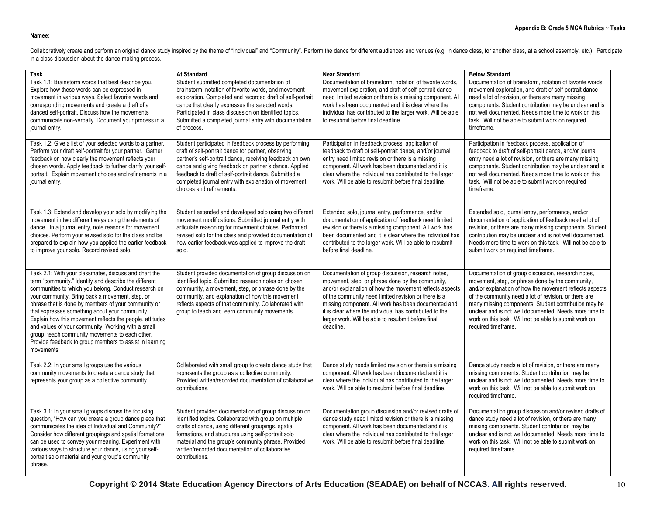Collaboratively create and perform an original dance study inspired by the theme of "Individual" and "Community". Perform the dance for different audiences and venues (e.g. in dance class, for another class, at a school as in a class discussion about the dance-making process.

| <b>Task</b>                                                                                                                                                                                                                                                                                                                                                                                                                                                                                                                                                                      | <b>At Standard</b>                                                                                                                                                                                                                                                                                                                                                              | <b>Near Standard</b>                                                                                                                                                                                                                                                                                                                                                                                           | <b>Below Standard</b>                                                                                                                                                                                                                                                                                                                                                                                                        |
|----------------------------------------------------------------------------------------------------------------------------------------------------------------------------------------------------------------------------------------------------------------------------------------------------------------------------------------------------------------------------------------------------------------------------------------------------------------------------------------------------------------------------------------------------------------------------------|---------------------------------------------------------------------------------------------------------------------------------------------------------------------------------------------------------------------------------------------------------------------------------------------------------------------------------------------------------------------------------|----------------------------------------------------------------------------------------------------------------------------------------------------------------------------------------------------------------------------------------------------------------------------------------------------------------------------------------------------------------------------------------------------------------|------------------------------------------------------------------------------------------------------------------------------------------------------------------------------------------------------------------------------------------------------------------------------------------------------------------------------------------------------------------------------------------------------------------------------|
| Task 1.1: Brainstorm words that best describe you.<br>Explore how these words can be expressed in<br>movement in various ways. Select favorite words and<br>corresponding movements and create a draft of a<br>danced self-portrait. Discuss how the movements<br>communicate non-verbally. Document your process in a<br>journal entry.                                                                                                                                                                                                                                         | Student submitted completed documentation of<br>brainstorm, notation of favorite words, and movement<br>exploration. Completed and recorded draft of self-portrait<br>dance that clearly expresses the selected words.<br>Participated in class discussion on identified topics.<br>Submitted a completed journal entry with documentation<br>of process.                       | Documentation of brainstorm, notation of favorite words,<br>movement exploration, and draft of self-portrait dance<br>need limited revision or there is a missing component. All<br>work has been documented and it is clear where the<br>individual has contributed to the larger work. Will be able<br>to resubmit before final deadline.                                                                    | Documentation of brainstorm, notation of favorite words.<br>movement exploration, and draft of self-portrait dance<br>need a lot of revision, or there are many missing<br>components. Student contribution may be unclear and is<br>not well documented. Needs more time to work on this<br>task. Will not be able to submit work on required<br>timeframe.                                                                 |
| Task 1.2: Give a list of your selected words to a partner.<br>Perform your draft self-portrait for your partner. Gather<br>feedback on how clearly the movement reflects your<br>chosen words. Apply feedback to further clarify your self-<br>portrait. Explain movement choices and refinements in a<br>journal entry.                                                                                                                                                                                                                                                         | Student participated in feedback process by performing<br>draft of self-portrait dance for partner, observing<br>partner's self-portrait dance, receiving feedback on own<br>dance and giving feedback on partner's dance. Applied<br>feedback to draft of self-portrait dance. Submitted a<br>completed journal entry with explanation of movement<br>choices and refinements. | Participation in feedback process, application of<br>feedback to draft of self-portrait dance, and/or journal<br>entry need limited revision or there is a missing<br>component. All work has been documented and it is<br>clear where the individual has contributed to the larger<br>work. Will be able to resubmit before final deadline.                                                                   | Participation in feedback process, application of<br>feedback to draft of self-portrait dance, and/or journal<br>entry need a lot of revision, or there are many missing<br>components. Student contribution may be unclear and is<br>not well documented. Needs more time to work on this<br>task. Will not be able to submit work on required<br>timeframe.                                                                |
| Task 1.3: Extend and develop your solo by modifying the<br>movement in two different ways using the elements of<br>dance. In a journal entry, note reasons for movement<br>choices. Perform your revised solo for the class and be<br>prepared to explain how you applied the earlier feedback<br>to improve your solo. Record revised solo.                                                                                                                                                                                                                                     | Student extended and developed solo using two different<br>movement modifications. Submitted journal entry with<br>articulate reasoning for movement choices. Performed<br>revised solo for the class and provided documentation of<br>how earlier feedback was applied to improve the draft<br>solo.                                                                           | Extended solo, journal entry, performance, and/or<br>documentation of application of feedback need limited<br>revision or there is a missing component. All work has<br>been documented and it is clear where the individual has<br>contributed to the larger work. Will be able to resubmit<br>before final deadline.                                                                                         | Extended solo, journal entry, performance, and/or<br>documentation of application of feedback need a lot of<br>revision, or there are many missing components. Student<br>contribution may be unclear and is not well documented.<br>Needs more time to work on this task. Will not be able to<br>submit work on required timeframe.                                                                                         |
| Task 2.1: With your classmates, discuss and chart the<br>term "community." Identify and describe the different<br>communities to which you belong. Conduct research on<br>your community. Bring back a movement, step, or<br>phrase that is done by members of your community or<br>that expresses something about your community.<br>Explain how this movement reflects the people, attitudes<br>and values of your community. Working with a small<br>group, teach community movements to each other.<br>Provide feedback to group members to assist in learning<br>movements. | Student provided documentation of group discussion on<br>identified topic. Submitted research notes on chosen<br>community, a movement, step, or phrase done by the<br>community, and explanation of how this movement<br>reflects aspects of that community. Collaborated with<br>group to teach and learn community movements.                                                | Documentation of group discussion, research notes,<br>movement, step, or phrase done by the community,<br>and/or explanation of how the movement reflects aspects<br>of the community need limited revision or there is a<br>missing component. All work has been documented and<br>it is clear where the individual has contributed to the<br>larger work. Will be able to resubmit before final<br>deadline. | Documentation of group discussion, research notes,<br>movement, step, or phrase done by the community,<br>and/or explanation of how the movement reflects aspects<br>of the community need a lot of revision, or there are<br>many missing components. Student contribution may be<br>unclear and is not well documented. Needs more time to<br>work on this task. Will not be able to submit work on<br>required timeframe. |
| Task 2.2: In your small groups use the various<br>community movements to create a dance study that<br>represents your group as a collective community.                                                                                                                                                                                                                                                                                                                                                                                                                           | Collaborated with small group to create dance study that<br>represents the group as a collective community.<br>Provided written/recorded documentation of collaborative<br>contributions.                                                                                                                                                                                       | Dance study needs limited revision or there is a missing<br>component. All work has been documented and it is<br>clear where the individual has contributed to the larger<br>work. Will be able to resubmit before final deadline.                                                                                                                                                                             | Dance study needs a lot of revision, or there are many<br>missing components. Student contribution may be<br>unclear and is not well documented. Needs more time to<br>work on this task. Will not be able to submit work on<br>required timeframe.                                                                                                                                                                          |
| Task 3.1: In your small groups discuss the focusing<br>question, "How can you create a group dance piece that<br>communicates the idea of Individual and Community?"<br>Consider how different groupings and spatial formations<br>can be used to convey your meaning. Experiment with<br>various ways to structure your dance, using your self-<br>portrait solo material and your group's community<br>phrase.                                                                                                                                                                 | Student provided documentation of group discussion on<br>identified topics. Collaborated with group on multiple<br>drafts of dance, using different groupings, spatial<br>formations, and structures using self-portrait solo<br>material and the group's community phrase. Provided<br>written/recorded documentation of collaborative<br>contributions.                       | Documentation group discussion and/or revised drafts of<br>dance study need limited revision or there is a missing<br>component. All work has been documented and it is<br>clear where the individual has contributed to the larger<br>work. Will be able to resubmit before final deadline.                                                                                                                   | Documentation group discussion and/or revised drafts of<br>dance study need a lot of revision, or there are many<br>missing components. Student contribution may be<br>unclear and is not well documented. Needs more time to<br>work on this task. Will not be able to submit work on<br>required timeframe.                                                                                                                |